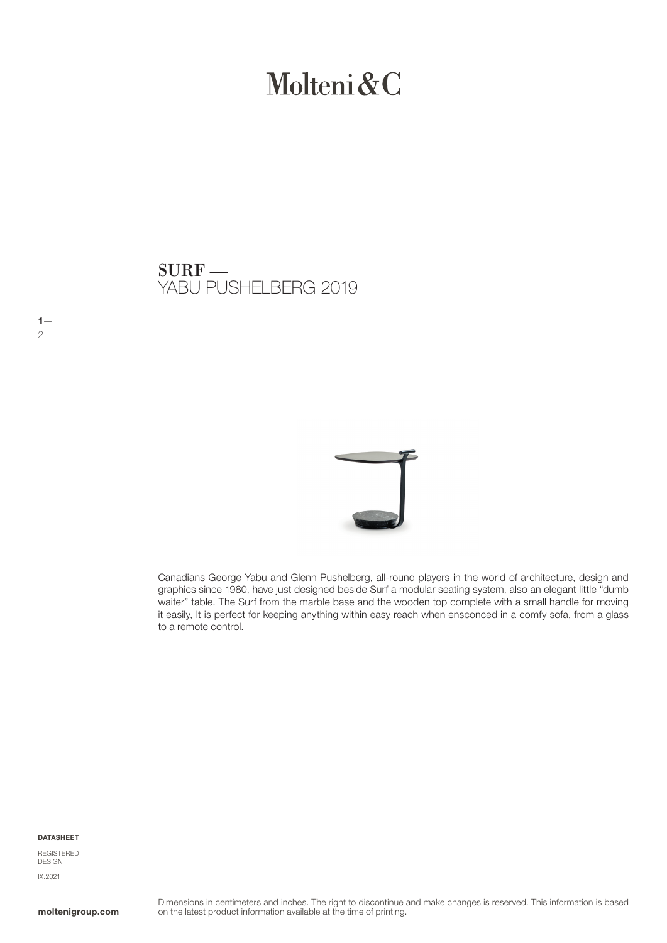# Molteni & C

YABU PUSHELBERG 2019 SURF —



Canadians George Yabu and Glenn Pushelberg, all-round players in the world of architecture, design and graphics since 1980, have just designed beside Surf a modular seating system, also an elegant little "dumb waiter" table. The Surf from the marble base and the wooden top complete with a small handle for moving it easily, It is perfect for keeping anything within easy reach when ensconced in a comfy sofa, from a glass to a remote control.

#### DATASHEET

 $1-$ 2

REGISTERED DESIGN IX.2021